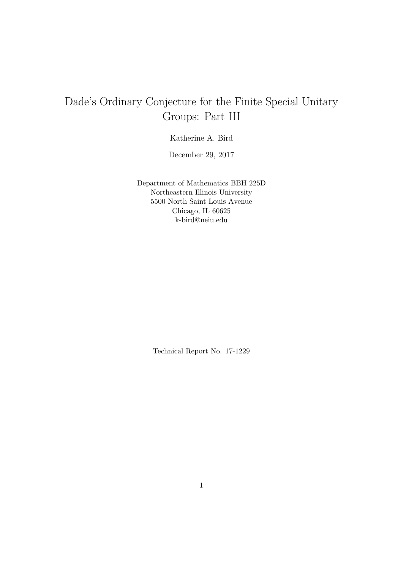# Dade's Ordinary Conjecture for the Finite Special Unitary Groups: Part III

Katherine A. Bird

December 29, 2017

Department of Mathematics BBH 225D Northeastern Illinois University 5500 North Saint Louis Avenue Chicago, IL 60625 k-bird@neiu.edu

Technical Report No. 17-1229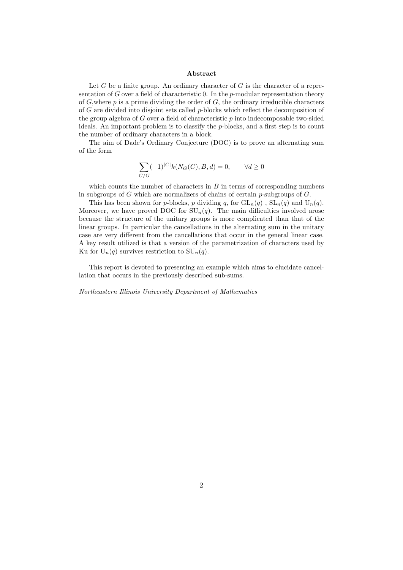#### Abstract

Let  $G$  be a finite group. An ordinary character of  $G$  is the character of a representation of G over a field of characteristic 0. In the  $p$ -modular representation theory of  $G$ , where p is a prime dividing the order of  $G$ , the ordinary irreducible characters of G are divided into disjoint sets called  $p$ -blocks which reflect the decomposition of the group algebra of  $G$  over a field of characteristic  $p$  into indecomposable two-sided ideals. An important problem is to classify the  $p$ -blocks, and a first step is to count the number of ordinary characters in a block.

The aim of Dade's Ordinary Conjecture (DOC) is to prove an alternating sum of the form

$$
\sum_{C/G} (-1)^{|C|} k(N_G(C), B, d) = 0, \qquad \forall d \ge 0
$$

which counts the number of characters in  $B$  in terms of corresponding numbers in subgroups of  $G$  which are normalizers of chains of certain  $p$ -subgroups of  $G$ .

This has been shown for p-blocks, p dividing q, for  $GL_n(q)$ ,  $SL_n(q)$  and  $U_n(q)$ . Moreover, we have proved DOC for  $SU_n(q)$ . The main difficulties involved arose because the structure of the unitary groups is more complicated than that of the linear groups. In particular the cancellations in the alternating sum in the unitary case are very different from the cancellations that occur in the general linear case. A key result utilized is that a version of the parametrization of characters used by Ku for  $U_n(q)$  survives restriction to  $SU_n(q)$ .

This report is devoted to presenting an example which aims to elucidate cancellation that occurs in the previously described sub-sums.

Northeastern Illinois University Department of Mathematics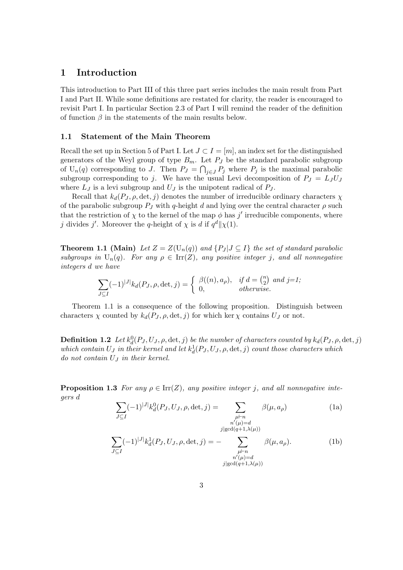## 1 Introduction

This introduction to Part III of this three part series includes the main result from Part I and Part II. While some definitions are restated for clarity, the reader is encouraged to revisit Part I. In particular Section 2.3 of Part I will remind the reader of the definition of function  $\beta$  in the statements of the main results below.

### 1.1 Statement of the Main Theorem

Recall the set up in Section 5 of Part I. Let  $J \subset I = [m]$ , an index set for the distinguished generators of the Weyl group of type  $B_m$ . Let  $P_J$  be the standard parabolic subgroup of  $U_n(q)$  corresponding to J. Then  $P_J = \bigcap_{j \in J} P_j$  where  $P_j$  is the maximal parabolic subgroup corresponding to j. We have the usual Levi decomposition of  $P_J = L_J U_J$ where  $L_J$  is a levi subgroup and  $U_J$  is the unipotent radical of  $P_J$ .

Recall that  $k_d(P_J, \rho, \det, j)$  denotes the number of irreducible ordinary characters  $\chi$ of the parabolic subgroup  $P_J$  with q-height d and lying over the central character  $\rho$  such that the restriction of  $\chi$  to the kernel of the map  $\phi$  has j' irreducible components, where j divides j'. Moreover the q-height of  $\chi$  is d if  $q^d \|\chi(1)$ .

**Theorem 1.1 (Main)** Let  $Z = Z(U_n(q))$  and  $\{P_J | J \subset I\}$  the set of standard parabolic subgroups in  $U_n(q)$ . For any  $\rho \in \text{Irr}(Z)$ , any positive integer j, and all nonnegative integers d we have

$$
\sum_{J \subset I} (-1)^{|J|} k_d(P_J, \rho, \det, j) = \begin{cases} \beta((n), a_\rho), & \text{if } d = \binom{n}{2} \text{ and } j = 1, \\ 0, & \text{otherwise.} \end{cases}
$$

Theorem 1.1 is a consequence of the following proposition. Distinguish between characters  $\chi$  counted by  $k_d(P_J, \rho, \det, j)$  for which ker  $\chi$  contains  $U_J$  or not.

**Definition 1.2** Let  $k_d^0(P_J, U_J, \rho, \det, j)$  be the number of characters counted by  $k_d(P_J, \rho, \det, j)$ which contain  $U_J$  in their kernel and let  $k_d^1(P_J, U_J, \rho, \det, j)$  count those characters which do not contain  $U_J$  in their kernel.

**Proposition 1.3** For any  $\rho \in \text{Irr}(Z)$ , any positive integer j, and all nonnegative integers d

$$
\sum_{J \subseteq I} (-1)^{|J|} k_d^0(P_J, U_J, \rho, \det, j) = \sum_{\substack{\mu \vdash n \\ n'(\mu) = d \\ j \mid \gcd(q+1, \lambda(\mu))}} \beta(\mu, a_\rho)
$$
(1a)

$$
\sum_{J \subseteq I} (-1)^{|J|} k_d^1(P_J, U_J, \rho, \det, j) = - \sum_{\substack{\mu \vdash n \\ n'(\mu) = d \\ j \mid \gcd(q+1, \lambda(\mu))}} \beta(\mu, a_\rho). \tag{1b}
$$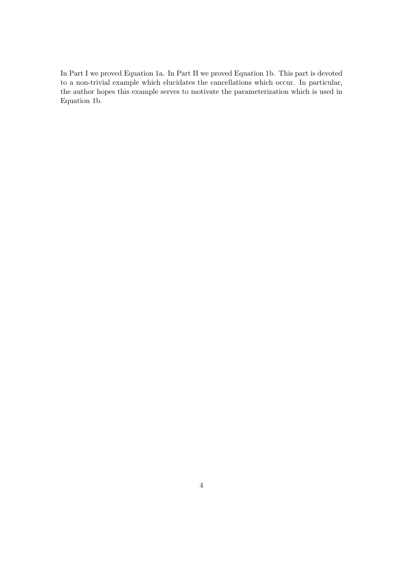In Part I we proved Equation 1a. In Part II we proved Equation 1b. This part is devoted to a non-trivial example which elucidates the cancellations which occur. In particular, the author hopes this example serves to motivate the parameterization which is used in Equation 1b.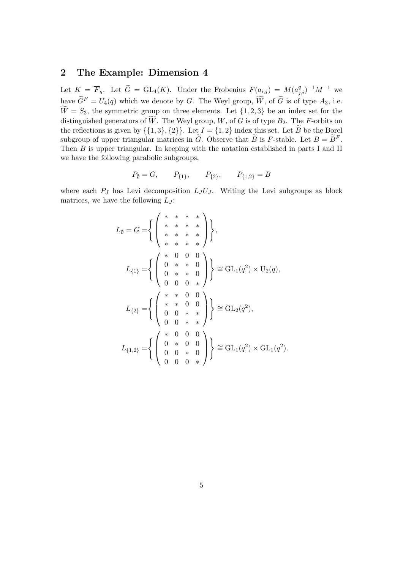## 2 The Example: Dimension 4

Let  $K = \overline{F}_q$ . Let  $\widetilde{G} = GL_4(K)$ . Under the Frobenius  $F(a_{i,j}) = M(a_{j,i}^q)^{-1}M^{-1}$  we have  $\widetilde{G}^F = U_4(q)$  which we denote by G. The Weyl group,  $\widetilde{W}$ , of  $\widetilde{G}$  is of type  $A_3$ , i.e.  $\widetilde{W} = S_3$ , the symmetric group on three elements. Let  $\{1, 2, 3\}$  be an index set for the distinguished generators of  $\widetilde{W}$ . The Weyl group, W, of G is of type  $B_2$ . The F-orbits on the reflections is given by  $\{\{1,3\},\{2\}\}\$ . Let  $I = \{1,2\}$  index this set. Let  $\widetilde{B}$  be the Borel subgroup of upper triangular matrices in  $\tilde{G}$ . Observe that  $\tilde{B}$  is F-stable. Let  $B = \tilde{B}^F$ . Then B is upper triangular. In keeping with the notation established in parts I and II we have the following parabolic subgroups,

$$
P_{\emptyset} = G, \qquad P_{\{1\}}, \qquad P_{\{2\}}, \qquad P_{\{1,2\}} = B
$$

where each  $P_J$  has Levi decomposition  $L_J U_J$ . Writing the Levi subgroups as block matrices, we have the following  $L_J$ :

$$
L_{\emptyset} = G = \left\{ \begin{pmatrix} * & * & * & * \\ * & * & * & * \\ * & * & * & * \\ * & * & * & * \end{pmatrix} \right\},
$$
  
\n
$$
L_{\{1\}} = \left\{ \begin{pmatrix} * & 0 & 0 & 0 \\ 0 & * & * & 0 \\ 0 & * & * & 0 \\ 0 & 0 & 0 & * \end{pmatrix} \right\} \cong GL_{1}(q^{2}) \times U_{2}(q),
$$
  
\n
$$
L_{\{2\}} = \left\{ \begin{pmatrix} * & * & 0 & 0 \\ * & * & 0 & 0 \\ 0 & 0 & * & * \\ 0 & 0 & * & * \end{pmatrix} \right\} \cong GL_{2}(q^{2}),
$$
  
\n
$$
L_{\{1,2\}} = \left\{ \begin{pmatrix} * & 0 & 0 & 0 \\ 0 & * & 0 & 0 \\ 0 & 0 & * & 0 \\ 0 & 0 & 0 & * \end{pmatrix} \right\} \cong GL_{1}(q^{2}) \times GL_{1}(q^{2}).
$$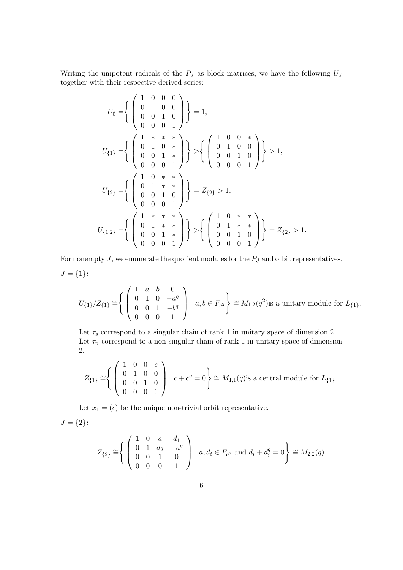Writing the unipotent radicals of the  $P_J$  as block matrices, we have the following  $U_J$ together with their respective derived series:

$$
U_{\emptyset} = \left\{ \begin{pmatrix} 1 & 0 & 0 & 0 \\ 0 & 1 & 0 & 0 \\ 0 & 0 & 1 & 0 \\ 0 & 0 & 0 & 1 \end{pmatrix} \right\} = 1,
$$
  
\n
$$
U_{\{1\}} = \left\{ \begin{pmatrix} 1 & * & * & * \\ 0 & 1 & 0 & * \\ 0 & 0 & 1 & * \\ 0 & 0 & 0 & 1 \end{pmatrix} \right\} > \left\{ \begin{pmatrix} 1 & 0 & 0 & * \\ 0 & 1 & 0 & 0 \\ 0 & 0 & 1 & 0 \\ 0 & 0 & 0 & 1 \end{pmatrix} \right\} > 1,
$$
  
\n
$$
U_{\{2\}} = \left\{ \begin{pmatrix} 1 & 0 & * & * \\ 0 & 1 & * & * \\ 0 & 0 & 1 & 0 \\ 0 & 0 & 0 & 1 \end{pmatrix} \right\} = Z_{\{2\}} > 1,
$$
  
\n
$$
U_{\{1,2\}} = \left\{ \begin{pmatrix} 1 & * & * & * \\ 0 & 1 & * & * \\ 0 & 0 & 1 & * \\ 0 & 0 & 0 & 1 \end{pmatrix} \right\} > \left\{ \begin{pmatrix} 1 & 0 & * & * \\ 0 & 1 & * & * \\ 0 & 0 & 1 & 0 \\ 0 & 0 & 0 & 1 \end{pmatrix} \right\} = Z_{\{2\}} > 1.
$$

For nonempty  $J$ , we enumerate the quotient modules for the  $P_J$  and orbit representatives.  $J = \{1\}$ :

$$
U_{\{1\}}/Z_{\{1\}} \cong \left\{ \begin{pmatrix} 1 & a & b & 0 \\ 0 & 1 & 0 & -a^q \\ 0 & 0 & 1 & -b^q \\ 0 & 0 & 0 & 1 \end{pmatrix} \mid a, b \in F_{q^2} \right\} \cong M_{1,2}(q^2)
$$
 is a unitary module for  $L_{\{1\}}.$ 

Let  $\tau_s$  correspond to a singular chain of rank 1 in unitary space of dimension 2. Let  $\tau_n$  correspond to a non-singular chain of rank 1 in unitary space of dimension 2.

$$
Z_{\{1\}} \cong \left\{ \begin{pmatrix} 1 & 0 & 0 & c \\ 0 & 1 & 0 & 0 \\ 0 & 0 & 1 & 0 \\ 0 & 0 & 0 & 1 \end{pmatrix} \mid c + c^q = 0 \right\} \cong M_{1,1}(q)
$$
is a central module for  $L_{\{1\}}.$ 

Let  $x_1 = (\epsilon)$  be the unique non-trivial orbit representative.

 $J = \{2\}$ :

$$
Z_{\{2\}} \cong \left\{ \begin{pmatrix} 1 & 0 & a & d_1 \\ 0 & 1 & d_2 & -a^q \\ 0 & 0 & 1 & 0 \\ 0 & 0 & 0 & 1 \end{pmatrix} \mid a, d_i \in F_{q^2} \text{ and } d_i + d_i^q = 0 \right\} \cong M_{2,2}(q)
$$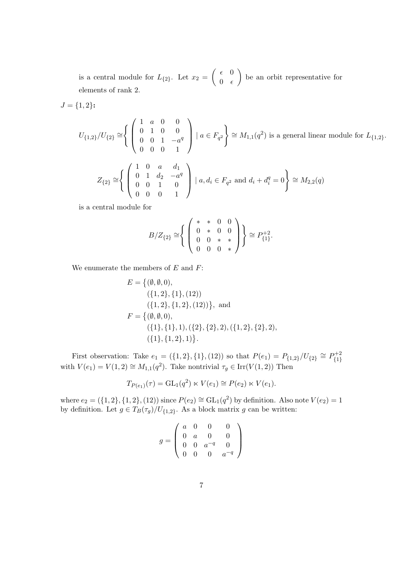is a central module for  $L_{\{2\}}$ . Let  $x_2 = \begin{pmatrix} 6 & 0 \\ 0 & 6 \end{pmatrix}$  $0 \epsilon$  be an orbit representative for elements of rank 2.

$$
J = \{1, 2\}:
$$

$$
U_{\{1,2\}}/U_{\{2\}} \cong \left\{ \begin{pmatrix} 1 & a & 0 & 0 \\ 0 & 1 & 0 & 0 \\ 0 & 0 & 1 & -a^q \\ 0 & 0 & 0 & 1 \end{pmatrix} \mid a \in F_{q^2} \right\} \cong M_{1,1}(q^2) \text{ is a general linear module for } L_{\{1,2\}}.
$$
  

$$
Z_{\{2\}} \cong \left\{ \begin{pmatrix} 1 & 0 & a & d_1 \\ 0 & 1 & d_2 & -a^q \\ 0 & 0 & 1 & 0 \\ 0 & 0 & 0 & 1 \end{pmatrix} \mid a, d_i \in F_{q^2} \text{ and } d_i + d_i^q = 0 \right\} \cong M_{2,2}(q)
$$

is a central module for

$$
B/Z_{\{2\}} \cong \left\{ \left( \begin{array}{ccc} * & * & 0 & 0 \\ 0 & * & 0 & 0 \\ 0 & 0 & * & * \\ 0 & 0 & 0 & * \end{array} \right) \right\} \cong P_{\{1\}}^{+2}.
$$

We enumerate the members of  $E$  and  $F$ :

$$
E = \{ (\emptyset, \emptyset, 0), (\{1, 2\}, \{1\}, (12)) (\{1, 2\}, \{1, 2\}, (12)) \}, \text{ and } F = \{ (\emptyset, \emptyset, 0), (\{1\}, \{1\}, 1), (\{2\}, \{2\}, 2), (\{1, 2\}, \{2\}, 2), (\{1\}, \{1, 2\}, 1) \}.
$$

First observation: Take  $e_1 = (\{1, 2\}, \{1\}, (12))$  so that  $P(e_1) = P_{\{1, 2\}}/U_{\{2\}} \cong P_{\{1\}}^{+2}$ with  $V(e_1) = V(1, 2) \cong M_{1,1}(q^2)$ . Take nontrivial  $\tau_g \in \text{Irr}(V(1, 2))$  Then

$$
T_{P(e_1)}(\tau) = GL_1(q^2) \ltimes V(e_1) \cong P(e_2) \ltimes V(e_1).
$$

where  $e_2 = (\{1, 2\}, \{1, 2\}, (12))$  since  $P(e_2) \cong GL_1(q^2)$  by definition. Also note  $V(e_2) = 1$ by definition. Let  $g \in T_B(\tau_g)/U_{\{1,2\}}$ . As a block matrix g can be written:

$$
g = \left(\begin{array}{cccc} a & 0 & 0 & 0 \\ 0 & a & 0 & 0 \\ 0 & 0 & a^{-q} & 0 \\ 0 & 0 & 0 & a^{-q} \end{array}\right)
$$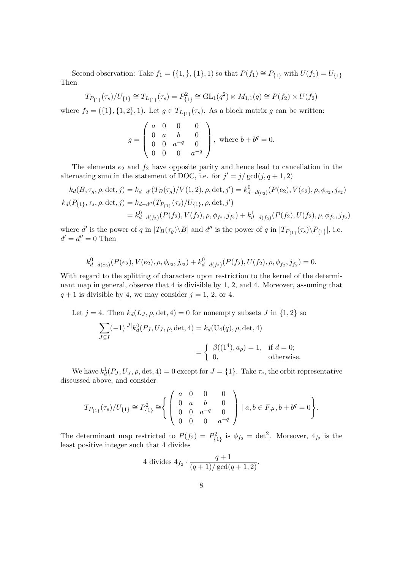Second observation: Take  $f_1 = (\{1, \}, \{1\}, 1)$  so that  $P(f_1) \cong P_{\{1\}}$  with  $U(f_1) = U_{\{1\}}$ Then

$$
T_{P_{\{1\}}}(\tau_s)/U_{\{1\}} \cong T_{L_{\{1\}}}(\tau_s) = P_{\{1\}}^2 \cong \text{GL}_1(q^2) \ltimes M_{1,1}(q) \cong P(f_2) \ltimes U(f_2)
$$

where  $f_2 = (\{1\}, \{1, 2\}, 1)$ . Let  $g \in T_{L_{\{1\}}}(\tau_s)$ . As a block matrix g can be written:

$$
g = \begin{pmatrix} a & 0 & 0 & 0 \\ 0 & a & b & 0 \\ 0 & 0 & a^{-q} & 0 \\ 0 & 0 & 0 & a^{-q} \end{pmatrix}, \text{ where } b + b^{q} = 0.
$$

The elements  $e_2$  and  $f_2$  have opposite parity and hence lead to cancellation in the alternating sum in the statement of DOC, i.e. for  $j' = j/\gcd(j, q + 1, 2)$ 

$$
k_d(B, \tau_g, \rho, \det, j) = k_{d-d'}(T_B(\tau_g)/V(1, 2), \rho, \det, j') = k_{d-d(e_2)}^0(P(e_2), V(e_2), \rho, \phi_{e_2}, j_{e_2})
$$
  
\n
$$
k_d(P_{\{1\}}, \tau_s, \rho, \det, j) = k_{d-d''}(T_{P_{\{1\}}}(r_s)/U_{\{1\}}, \rho, \det, j')
$$
  
\n
$$
= k_{d-d(f_2)}^0(P(f_2), V(f_2), \rho, \phi_{f_2}, j_{f_2}) + k_{d-d(f_2)}^1(P(f_2), U(f_2), \rho, \phi_{f_2}, j_{f_2})
$$

where d' is the power of q in  $|T_B(\tau_g)\setminus B|$  and d'' is the power of q in  $|T_{P_{\{1\}}}(\tau_s)\setminus P_{\{1\}}|$ , i.e.  $d' = d'' = 0$  Then

$$
k_{d-d(e_2)}^0(P(e_2), V(e_2), \rho, \phi_{e_2}, j_{e_2}) + k_{d-d(f_2)}^0(P(f_2), U(f_2), \rho, \phi_{f_2}, j_{f_2}) = 0.
$$

With regard to the splitting of characters upon restriction to the kernel of the determinant map in general, observe that 4 is divisible by 1, 2, and 4. Moreover, assuming that  $q + 1$  is divisible by 4, we may consider  $j = 1, 2,$  or 4.

Let  $j = 4$ . Then  $k_d(L_J, \rho, \det, 4) = 0$  for nonempty subsets J in  $\{1, 2\}$  so

$$
\sum_{J \subseteq I} (-1)^{|J|} k_d^0(P_J, U_J, \rho, \det, 4) = k_d(\mathbf{U}_4(q), \rho, \det, 4)
$$
  
= 
$$
\begin{cases} \beta((1^4), a_\rho) = 1, & \text{if } d = 0; \\ 0, & \text{otherwise.} \end{cases}
$$

We have  $k_d^1(P_J, U_J, \rho, \det, 4) = 0$  except for  $J = \{1\}$ . Take  $\tau_s$ , the orbit representative discussed above, and consider

$$
T_{P_{\{1\}}}(\tau_s)/U_{\{1\}} \cong P_{\{1\}}^2 \cong \left\{ \left( \begin{array}{cccc} a & 0 & 0 & 0 \\ 0 & a & b & 0 \\ 0 & 0 & a^{-q} & 0 \\ 0 & 0 & 0 & a^{-q} \end{array} \right) \mid a, b \in F_{q^2}, b + b^q = 0 \right\}.
$$

The determinant map restricted to  $P(f_2) = P_{\{1\}}^2$  is  $\phi_{f_2} = \det^2$ . Moreover,  $4_{f_2}$  is the least positive integer such that 4 divides

4 divides 
$$
4_{f_2} \cdot \frac{q+1}{(q+1)/\gcd(q+1,2)}
$$
.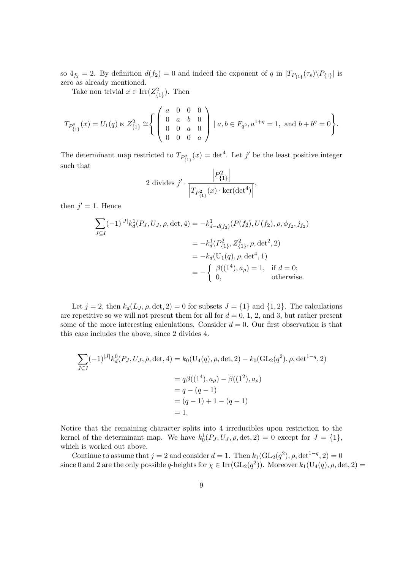so  $4_{f_2} = 2$ . By definition  $d(f_2) = 0$  and indeed the exponent of q in  $|T_{P_{\{1\}}}(\tau_s) \setminus P_{\{1\}}|$  is zero as already mentioned.

Take non trivial  $x \in \text{Irr}(Z^2_{\{1\}})$ . Then

$$
T_{P_{\{1\}}^{2}}(x) = U_{1}(q) \ltimes Z_{\{1\}}^{2} \cong \left\{ \begin{pmatrix} a & 0 & 0 & 0 \\ 0 & a & b & 0 \\ 0 & 0 & a & 0 \\ 0 & 0 & 0 & a \end{pmatrix} \mid a, b \in F_{q^{2}}, a^{1+q} = 1, \text{ and } b + b^{q} = 0 \right\}.
$$

The determinant map restricted to  $T_{P_{\{1\}}^2}(x) = \det^4$ . Let j' be the least positive integer such that

$$
2 \text{ divides } j' \cdot \frac{\left| P_{\{1\}}^2 \right|}{\left| T_{P_{\{1\}}^2}(x) \cdot \text{ker}(\det^4) \right|},
$$

then  $j' = 1$ . Hence

$$
\sum_{J \subseteq I} (-1)^{|J|} k_d^1(P_J, U_J, \rho, \det, 4) = -k_{d-d(f_2)}^1(P(f_2), U(f_2), \rho, \phi_{f_2}, j_{f_2})
$$
  

$$
= -k_d^1(P_{\{1\}}^2, Z_{\{1\}}^2, \rho, \det^2, 2)
$$
  

$$
= -k_d(U_1(q), \rho, \det^4, 1)
$$
  

$$
= -\begin{cases} \beta((1^4), a_\rho) = 1, & \text{if } d = 0; \\ 0, & \text{otherwise.} \end{cases}
$$

Let  $j = 2$ , then  $k_d(L_J, \rho, \det, 2) = 0$  for subsets  $J = \{1\}$  and  $\{1, 2\}$ . The calculations are repetitive so we will not present them for all for  $d = 0, 1, 2,$  and 3, but rather present some of the more interesting calculations. Consider  $d = 0$ . Our first observation is that this case includes the above, since 2 divides 4.

$$
\sum_{J \subseteq I} (-1)^{|J|} k_d^0(P_J, U_J, \rho, \det, 4) = k_0(\mathbf{U}_4(q), \rho, \det, 2) - k_0(\mathbf{GL}_2(q^2), \rho, \det^{1-q}, 2)
$$
  
=  $q\beta((1^4), a_\rho) - \overline{\beta}((1^2), a_\rho)$   
=  $q - (q - 1)$   
=  $(q - 1) + 1 - (q - 1)$   
= 1.

Notice that the remaining character splits into 4 irreducibles upon restriction to the kernel of the determinant map. We have  $k_0^1(P_J, U_J, \rho, \det, 2) = 0$  except for  $J = \{1\},\$ which is worked out above.

Continue to assume that  $j = 2$  and consider  $d = 1$ . Then  $k_1(\text{GL}_2(q^2), \rho, \det^{1-q}, 2) = 0$ since 0 and 2 are the only possible q-heights for  $\chi \in \text{Irr}(\text{GL}_2(q^2))$ . Moreover  $k_1(\text{U}_4(q), \rho, \det, 2)$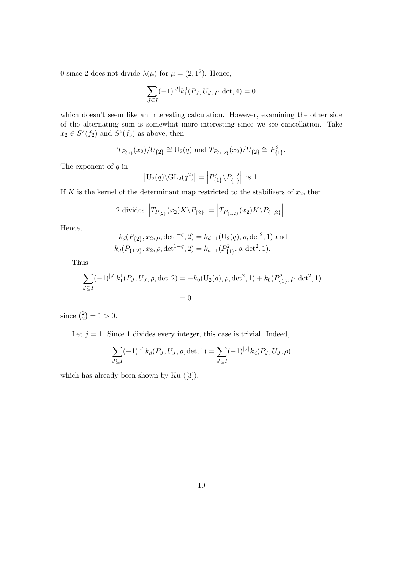0 since 2 does not divide  $\lambda(\mu)$  for  $\mu = (2, 1^2)$ . Hence,

$$
\sum_{J \subseteq I} (-1)^{|J|} k_1^0(P_J, U_J, \rho, \det, 4) = 0
$$

which doesn't seem like an interesting calculation. However, examining the other side of the alternating sum is somewhat more interesting since we see cancellation. Take  $x_2 \in S^z(f_2)$  and  $S^z(f_3)$  as above, then

$$
T_{P_{\{2\}}}(x_2)/U_{\{2\}} \cong U_2(q)
$$
 and  $T_{P_{\{1,2\}}}(x_2)/U_{\{2\}} \cong P_{\{1\}}^2$ .

The exponent of  $q$  in

$$
\left| \mathrm{U}_{2}(q) \backslash \mathrm{GL}_{2}(q^{2}) \right| = \left| P_{\{1\}}^{2} \backslash P_{\{1\}}^{+2} \right| \text{ is } 1.
$$

If K is the kernel of the determinant map restricted to the stabilizers of  $x_2$ , then

2 divides 
$$
|T_{P_{\{2\}}}(x_2)K\backslash P_{\{2\}}| = |T_{P_{\{1,2\}}}(x_2)K\backslash P_{\{1,2\}}|.
$$

Hence,

$$
k_d(P_{\{2\}}, x_2, \rho, \det^{1-q}, 2) = k_{d-1}(\mathbf{U}_2(q), \rho, \det^2, 1) \text{ and}
$$
  

$$
k_d(P_{\{1,2\}}, x_2, \rho, \det^{1-q}, 2) = k_{d-1}(P_{\{1\}}, \rho, \det^2, 1).
$$

Thus

$$
\sum_{J \subseteq I} (-1)^{|J|} k_1^1(P_J, U_J, \rho, \det, 2) = -k_0(\mathrm{U}_2(q), \rho, \det^2, 1) + k_0(P_{\{1\}}^2, \rho, \det^2, 1)
$$
  
= 0

since  $\binom{2}{2}$  $_{2}^{2}$  $\left| =1>0.$ 

Let  $j = 1$ . Since 1 divides every integer, this case is trivial. Indeed,

$$
\sum_{J \subseteq I} (-1)^{|J|} k_d(P_J, U_J, \rho, \det, 1) = \sum_{J \subseteq I} (-1)^{|J|} k_d(P_J, U_J, \rho)
$$

which has already been shown by Ku ([3]).